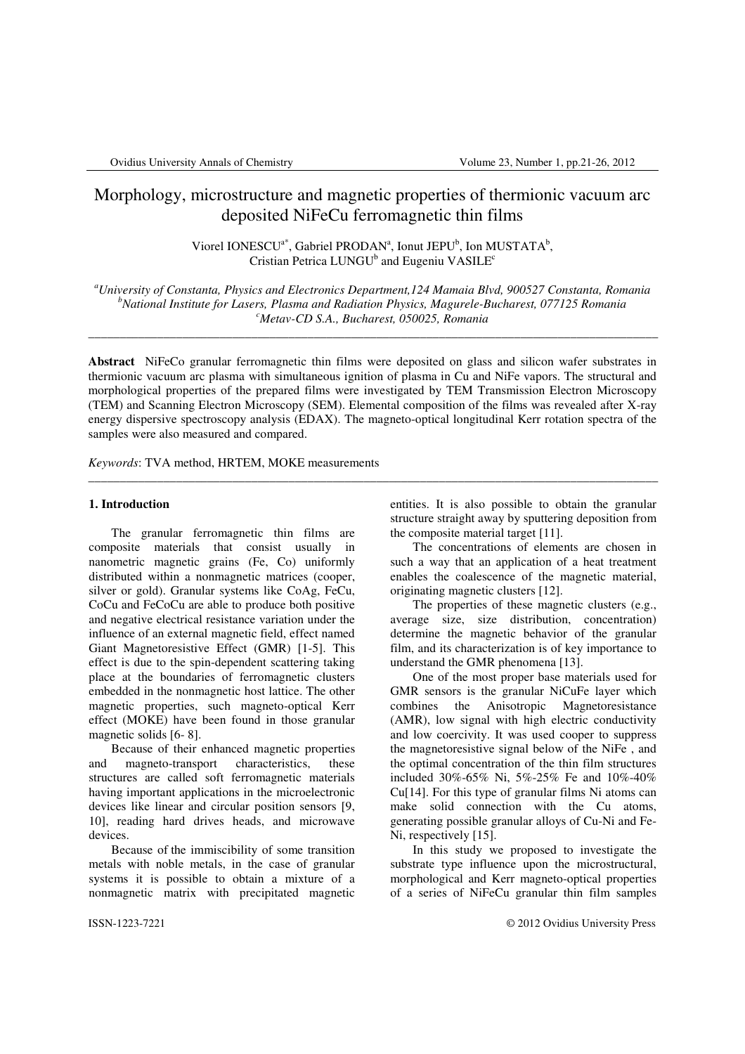# Morphology, microstructure and magnetic properties of thermionic vacuum arc deposited NiFeCu ferromagnetic thin films

Viorel IONESCU<sup>a\*</sup>, Gabriel PRODAN<sup>a</sup>, Ionut JEPU<sup>b</sup>, Ion MUSTATA<sup>b</sup>, Cristian Petrica LUNGU<sup>b</sup> and Eugeniu VASILE<sup>c</sup>

*<sup>a</sup>University of Constanta, Physics and Electronics Department,124 Mamaia Blvd, 900527 Constanta, Romania <sup>b</sup>National Institute for Lasers, Plasma and Radiation Physics, Magurele-Bucharest, 077125 Romania <sup>c</sup>Metav-CD S.A., Bucharest, 050025, Romania* 

\_\_\_\_\_\_\_\_\_\_\_\_\_\_\_\_\_\_\_\_\_\_\_\_\_\_\_\_\_\_\_\_\_\_\_\_\_\_\_\_\_\_\_\_\_\_\_\_\_\_\_\_\_\_\_\_\_\_\_\_\_\_\_\_\_\_\_\_\_\_\_\_\_\_\_\_\_\_\_\_\_\_\_\_\_\_\_\_\_\_\_

**Abstract** NiFeCo granular ferromagnetic thin films were deposited on glass and silicon wafer substrates in thermionic vacuum arc plasma with simultaneous ignition of plasma in Cu and NiFe vapors. The structural and morphological properties of the prepared films were investigated by TEM Transmission Electron Microscopy (TEM) and Scanning Electron Microscopy (SEM). Elemental composition of the films was revealed after X-ray energy dispersive spectroscopy analysis (EDAX). The magneto-optical longitudinal Kerr rotation spectra of the samples were also measured and compared.

\_\_\_\_\_\_\_\_\_\_\_\_\_\_\_\_\_\_\_\_\_\_\_\_\_\_\_\_\_\_\_\_\_\_\_\_\_\_\_\_\_\_\_\_\_\_\_\_\_\_\_\_\_\_\_\_\_\_\_\_\_\_\_\_\_\_\_\_\_\_\_\_\_\_\_\_\_\_\_\_\_\_\_\_\_\_\_\_\_\_\_

*Keywords*: TVA method, HRTEM, MOKE measurements

## **1. Introduction**

The granular ferromagnetic thin films are composite materials that consist usually in nanometric magnetic grains (Fe, Co) uniformly distributed within a nonmagnetic matrices (cooper, silver or gold). Granular systems like CoAg, FeCu, CoCu and FeCoCu are able to produce both positive and negative electrical resistance variation under the influence of an external magnetic field, effect named Giant Magnetoresistive Effect (GMR) [1-5]. This effect is due to the spin-dependent scattering taking place at the boundaries of ferromagnetic clusters embedded in the nonmagnetic host lattice. The other magnetic properties, such magneto-optical Kerr effect (MOKE) have been found in those granular magnetic solids [6- 8].

Because of their enhanced magnetic properties and magneto-transport characteristics, these structures are called soft ferromagnetic materials having important applications in the microelectronic devices like linear and circular position sensors [9, 10], reading hard drives heads, and microwave devices.

Because of the immiscibility of some transition metals with noble metals, in the case of granular systems it is possible to obtain a mixture of a nonmagnetic matrix with precipitated magnetic

entities. It is also possible to obtain the granular structure straight away by sputtering deposition from the composite material target [11].

The concentrations of elements are chosen in such a way that an application of a heat treatment enables the coalescence of the magnetic material, originating magnetic clusters [12].

The properties of these magnetic clusters (e.g., average size, size distribution, concentration) determine the magnetic behavior of the granular film, and its characterization is of key importance to understand the GMR phenomena [13].

One of the most proper base materials used for GMR sensors is the granular NiCuFe layer which combines the Anisotropic Magnetoresistance (AMR), low signal with high electric conductivity and low coercivity. It was used cooper to suppress the magnetoresistive signal below of the NiFe , and the optimal concentration of the thin film structures included 30%-65% Ni, 5%-25% Fe and 10%-40% Cu[14]. For this type of granular films Ni atoms can make solid connection with the Cu atoms, generating possible granular alloys of Cu-Ni and Fe-Ni, respectively [15].

In this study we proposed to investigate the substrate type influence upon the microstructural, morphological and Kerr magneto-optical properties of a series of NiFeCu granular thin film samples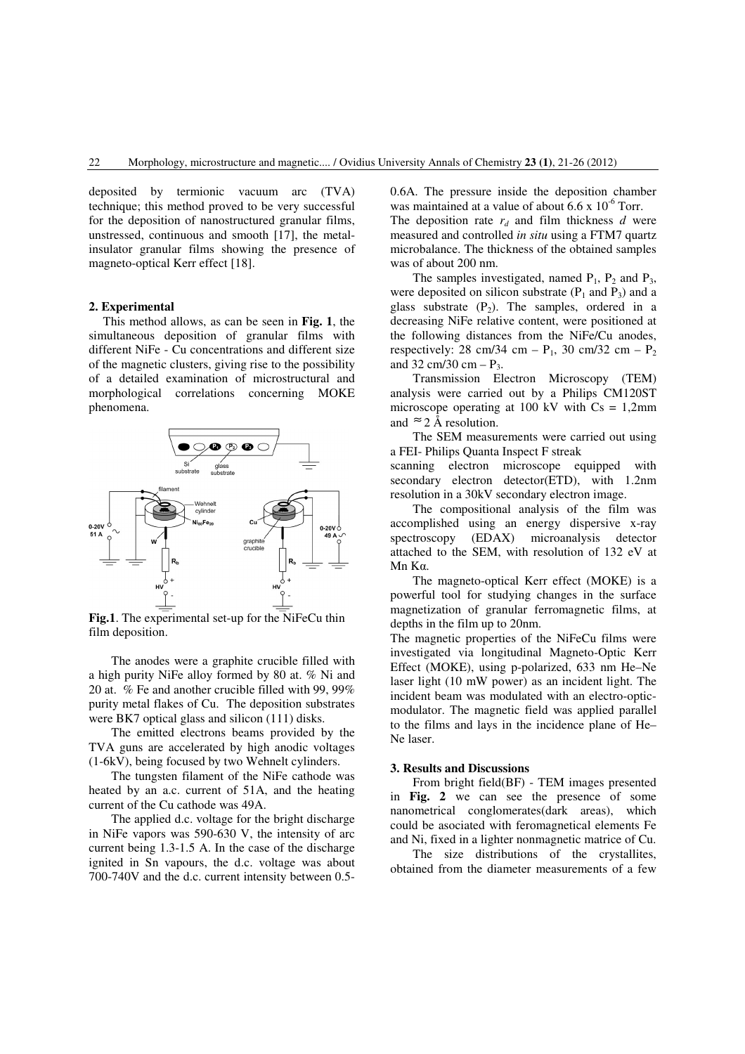deposited by termionic vacuum arc (TVA) technique; this method proved to be very successful for the deposition of nanostructured granular films, unstressed, continuous and smooth [17], the metalinsulator granular films showing the presence of magneto-optical Kerr effect [18].

### **2. Experimental**

This method allows, as can be seen in **Fig. 1**, the simultaneous deposition of granular films with different NiFe - Cu concentrations and different size of the magnetic clusters, giving rise to the possibility of a detailed examination of microstructural and morphological correlations concerning MOKE phenomena.



**Fig.1**. The experimental set-up for the NiFeCu thin film deposition.

The anodes were a graphite crucible filled with a high purity NiFe alloy formed by 80 at. % Ni and 20 at. % Fe and another crucible filled with 99, 99% purity metal flakes of Cu. The deposition substrates were BK7 optical glass and silicon (111) disks.

The emitted electrons beams provided by the TVA guns are accelerated by high anodic voltages (1-6kV), being focused by two Wehnelt cylinders.

The tungsten filament of the NiFe cathode was heated by an a.c. current of 51A, and the heating current of the Cu cathode was 49A.

The applied d.c. voltage for the bright discharge in NiFe vapors was 590-630 V, the intensity of arc current being 1.3-1.5 A. In the case of the discharge ignited in Sn vapours, the d.c. voltage was about 700-740V and the d.c. current intensity between 0.50.6A. The pressure inside the deposition chamber was maintained at a value of about  $6.6 \times 10^{-6}$  Torr.

The deposition rate  $r_d$  and film thickness *d* were measured and controlled *in situ* using a FTM7 quartz microbalance. The thickness of the obtained samples was of about 200 nm.

The samples investigated, named  $P_1$ ,  $P_2$  and  $P_3$ , were deposited on silicon substrate  $(P_1$  and  $P_3)$  and a glass substrate  $(P_2)$ . The samples, ordered in a decreasing NiFe relative content, were positioned at the following distances from the NiFe/Cu anodes, respectively: 28 cm/34 cm –  $P_1$ , 30 cm/32 cm –  $P_2$ and 32 cm/30 cm –  $P_3$ .

Transmission Electron Microscopy (TEM) analysis were carried out by a Philips CM120ST microscope operating at 100 kV with  $Cs = 1,2mm$ and  $\approx$  2 Å resolution.

The SEM measurements were carried out using a FEI- Philips Quanta Inspect F streak

scanning electron microscope equipped with secondary electron detector(ETD), with 1.2nm resolution in a 30kV secondary electron image.

The compositional analysis of the film was accomplished using an energy dispersive x-ray spectroscopy (EDAX) microanalysis detector attached to the SEM, with resolution of 132 eV at Mn Kα.

The magneto-optical Kerr effect (MOKE) is a powerful tool for studying changes in the surface magnetization of granular ferromagnetic films, at depths in the film up to 20nm.

The magnetic properties of the NiFeCu films were investigated via longitudinal Magneto-Optic Kerr Effect (MOKE), using p-polarized, 633 nm He–Ne laser light (10 mW power) as an incident light. The incident beam was modulated with an electro-opticmodulator. The magnetic field was applied parallel to the films and lays in the incidence plane of He– Ne laser.

#### **3. Results and Discussions**

From bright field(BF) - TEM images presented in **Fig. 2** we can see the presence of some nanometrical conglomerates(dark areas), which could be asociated with feromagnetical elements Fe and Ni, fixed in a lighter nonmagnetic matrice of Cu.

The size distributions of the crystallites, obtained from the diameter measurements of a few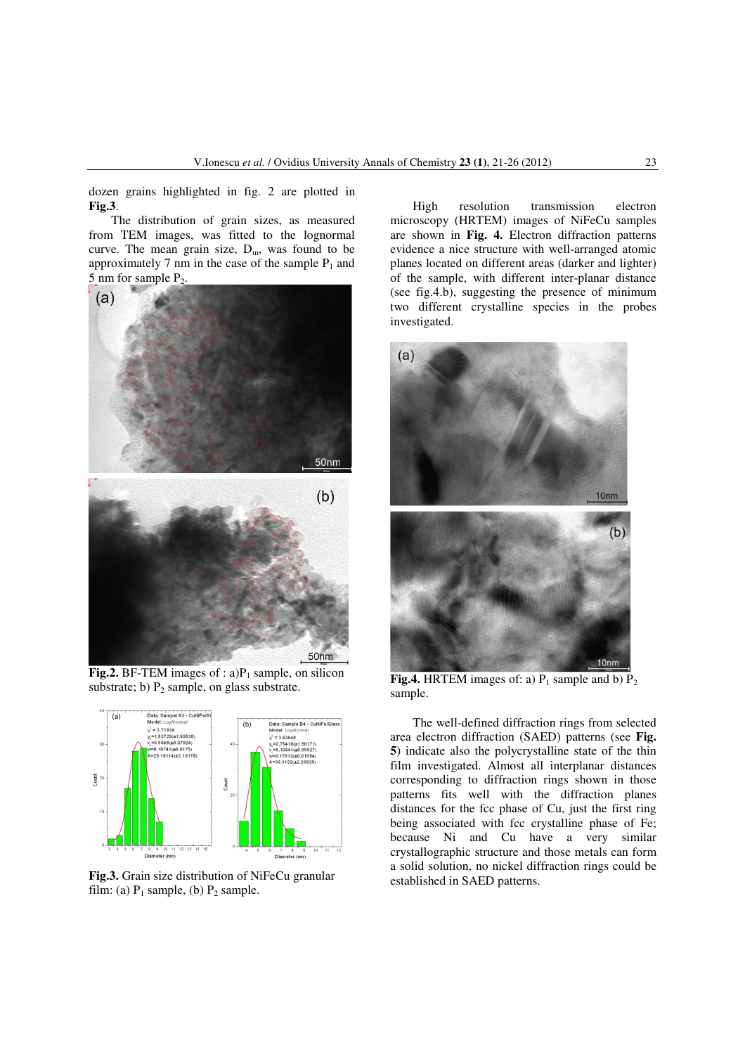dozen grains highlighted in fig. 2 are plotted in **Fig.3**.

The distribution of grain sizes, as measured from TEM images, was fitted to the lognormal curve. The mean grain size,  $D_m$ , was found to be approximately 7 nm in the case of the sample  $P_1$  and 5 nm for sample P2.



**Fig.2.** BF-TEM images of :  $a$ ) $P_1$  sample, on silicon substrate; b)  $P_2$  sample, on glass substrate.



**Fig.3.** Grain size distribution of NiFeCu granular film: (a)  $P_1$  sample, (b)  $P_2$  sample.

High resolution transmission electron microscopy (HRTEM) images of NiFeCu samples are shown in **Fig. 4.** Electron diffraction patterns evidence a nice structure with well-arranged atomic planes located on different areas (darker and lighter) of the sample, with different inter-planar distance (see fig.4.b), suggesting the presence of minimum two different crystalline species in the probes investigated.



**Fig.4.** HRTEM images of: a)  $P_1$  sample and b)  $P_2$ sample.

The well-defined diffraction rings from selected area electron diffraction (SAED) patterns (see **Fig. 5**) indicate also the polycrystalline state of the thin film investigated. Almost all interplanar distances corresponding to diffraction rings shown in those patterns fits well with the diffraction planes distances for the fcc phase of Cu, just the first ring being associated with fcc crystalline phase of Fe; because Ni and Cu have a very similar crystallographic structure and those metals can form a solid solution, no nickel diffraction rings could be established in SAED patterns.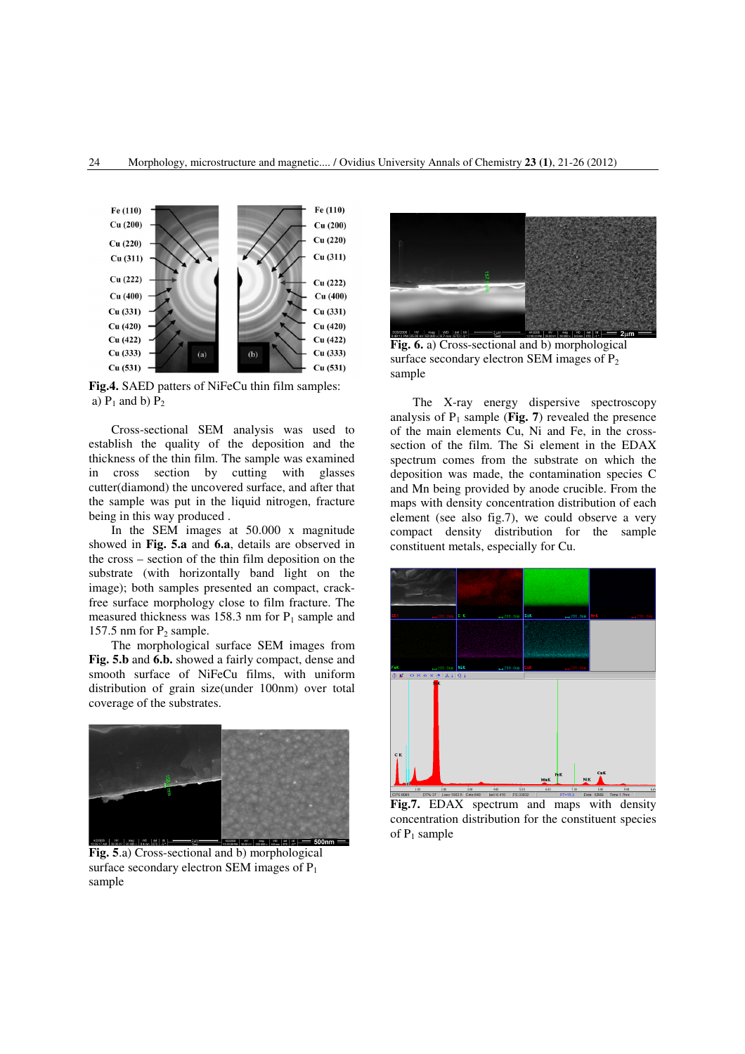

**Fig.4.** SAED patters of NiFeCu thin film samples: a)  $P_1$  and b)  $P_2$ 

Cross-sectional SEM analysis was used to establish the quality of the deposition and the thickness of the thin film. The sample was examined in cross section by cutting with glasses cutter(diamond) the uncovered surface, and after that the sample was put in the liquid nitrogen, fracture being in this way produced .

In the SEM images at 50.000 x magnitude showed in **Fig. 5.a** and **6.a**, details are observed in the cross – section of the thin film deposition on the substrate (with horizontally band light on the image); both samples presented an compact, crackfree surface morphology close to film fracture. The measured thickness was 158.3 nm for  $P_1$  sample and 157.5 nm for  $P_2$  sample.

The morphological surface SEM images from **Fig. 5.b** and **6.b.** showed a fairly compact, dense and smooth surface of NiFeCu films, with uniform distribution of grain size(under 100nm) over total coverage of the substrates.



**Fig. 5**.a) Cross-sectional and b) morphological surface secondary electron SEM images of  $P_1$ sample



**Fig. 6.** a) Cross-sectional and b) morphological surface secondary electron SEM images of  $P_2$ sample

The X-ray energy dispersive spectroscopy analysis of  $P_1$  sample (**Fig. 7**) revealed the presence of the main elements Cu, Ni and Fe, in the crosssection of the film. The Si element in the EDAX spectrum comes from the substrate on which the deposition was made, the contamination species C and Mn being provided by anode crucible. From the maps with density concentration distribution of each element (see also fig.7), we could observe a very compact density distribution for the sample constituent metals, especially for Cu.



**Fig.7.** EDAX spectrum and maps with density concentration distribution for the constituent species of  $P_1$  sample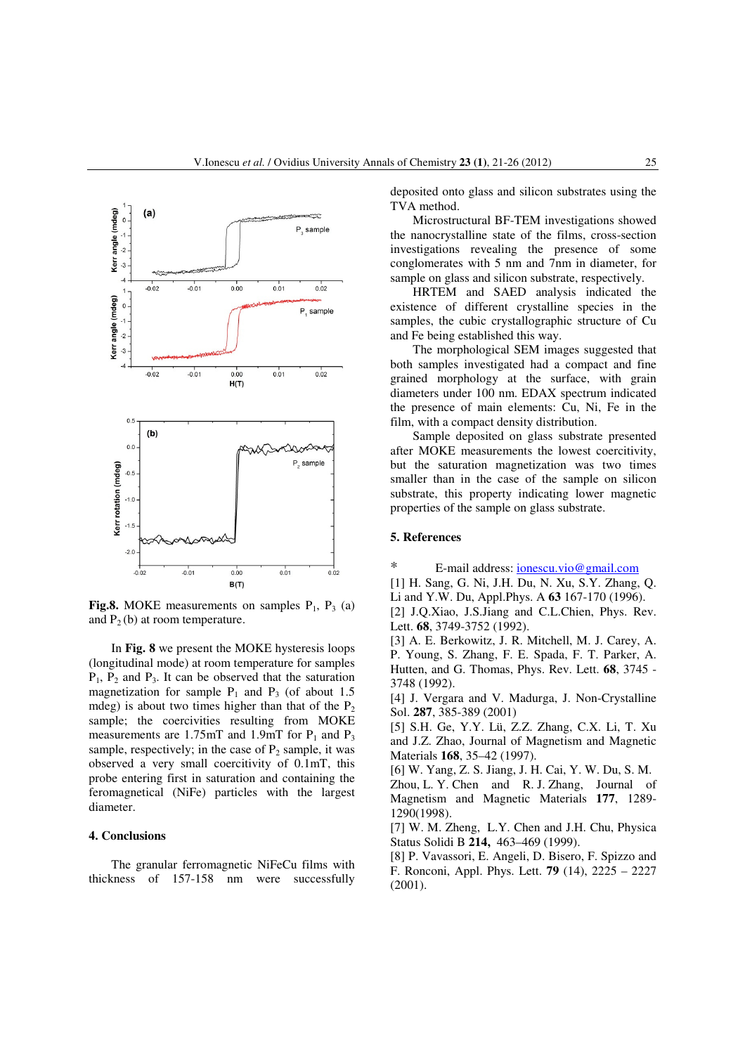

**Fig.8.** MOKE measurements on samples  $P_1$ ,  $P_3$  (a) and  $P_2$  (b) at room temperature.

In **Fig. 8** we present the MOKE hysteresis loops (longitudinal mode) at room temperature for samples  $P_1$ ,  $P_2$  and  $P_3$ . It can be observed that the saturation magnetization for sample  $P_1$  and  $P_3$  (of about 1.5 mdeg) is about two times higher than that of the  $P_2$ sample; the coercivities resulting from MOKE measurements are 1.75mT and 1.9mT for  $P_1$  and  $P_3$ sample, respectively; in the case of  $P_2$  sample, it was observed a very small coercitivity of 0.1mT, this probe entering first in saturation and containing the feromagnetical (NiFe) particles with the largest diameter.

## **4. Conclusions**

The granular ferromagnetic NiFeCu films with thickness of 157-158 nm were successfully deposited onto glass and silicon substrates using the TVA method.

Microstructural BF-TEM investigations showed the nanocrystalline state of the films, cross-section investigations revealing the presence of some conglomerates with 5 nm and 7nm in diameter, for sample on glass and silicon substrate, respectively.

HRTEM and SAED analysis indicated the existence of different crystalline species in the samples, the cubic crystallographic structure of Cu and Fe being established this way.

The morphological SEM images suggested that both samples investigated had a compact and fine grained morphology at the surface, with grain diameters under 100 nm. EDAX spectrum indicated the presence of main elements: Cu, Ni, Fe in the film, with a compact density distribution.

Sample deposited on glass substrate presented after MOKE measurements the lowest coercitivity, but the saturation magnetization was two times smaller than in the case of the sample on silicon substrate, this property indicating lower magnetic properties of the sample on glass substrate.

## **5. References**

\* E-mail address: ionescu.vio@gmail.com

[1] H. Sang, G. Ni, J.H. Du, N. Xu, S.Y. Zhang, Q. Li and Y.W. Du, Appl.Phys. A **63** 167-170 (1996).

[2] J.O.Xiao, J.S.Jiang and C.L.Chien, Phys. Rev. Lett. **68**, 3749-3752 (1992).

[3] A. E. Berkowitz, J. R. Mitchell, M. J. Carey, A. P. Young, S. Zhang, F. E. Spada, F. T. Parker, A. Hutten, and G. Thomas, Phys. Rev. Lett. **68**, 3745 - 3748 (1992).

[4] J. Vergara and V. Madurga, J. Non-Crystalline Sol. **287**, 385-389 (2001)

[5] S.H. Ge, Y.Y. Lü, Z.Z. Zhang, C.X. Li, T. Xu and J.Z. Zhao, Journal of Magnetism and Magnetic Materials **168**, 35–42 (1997).

[6] W. Yang, Z. S. Jiang, J. H. Cai, Y. W. Du, S. M.

Zhou, L. Y. Chen and R. J. Zhang, Journal of Magnetism and Magnetic Materials **177**, 1289- 1290(1998).

[7] W. M. Zheng, L.Y. Chen and J.H. Chu, Physica Status Solidi B **214,** 463–469 (1999).

[8] P. Vavassori, E. Angeli, D. Bisero, F. Spizzo and F. Ronconi, Appl. Phys. Lett. **79** (14), 2225 – 2227 (2001).